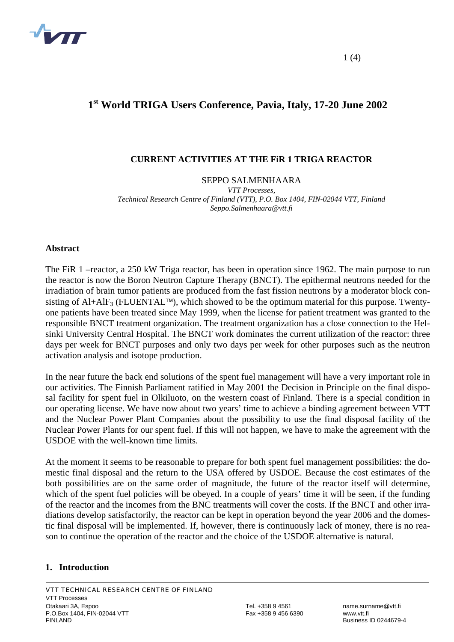

# **1st World TRIGA Users Conference, Pavia, Italy, 17-20 June 2002**

## **CURRENT ACTIVITIES AT THE FiR 1 TRIGA REACTOR**

#### SEPPO SALMENHAARA

*VTT Processes, Technical Research Centre of Finland (VTT), P.O. Box 1404, FIN-02044 VTT, Finland Seppo.Salmenhaara@vtt.fi* 

#### **Abstract**

The FiR 1 –reactor, a 250 kW Triga reactor, has been in operation since 1962. The main purpose to run the reactor is now the Boron Neutron Capture Therapy (BNCT). The epithermal neutrons needed for the irradiation of brain tumor patients are produced from the fast fission neutrons by a moderator block consisting of  $AI+AIF_3$  (FLUENTAL<sup>™</sup>), which showed to be the optimum material for this purpose. Twentyone patients have been treated since May 1999, when the license for patient treatment was granted to the responsible BNCT treatment organization. The treatment organization has a close connection to the Helsinki University Central Hospital. The BNCT work dominates the current utilization of the reactor: three days per week for BNCT purposes and only two days per week for other purposes such as the neutron activation analysis and isotope production.

In the near future the back end solutions of the spent fuel management will have a very important role in our activities. The Finnish Parliament ratified in May 2001 the Decision in Principle on the final disposal facility for spent fuel in Olkiluoto, on the western coast of Finland. There is a special condition in our operating license. We have now about two years' time to achieve a binding agreement between VTT and the Nuclear Power Plant Companies about the possibility to use the final disposal facility of the Nuclear Power Plants for our spent fuel. If this will not happen, we have to make the agreement with the USDOE with the well-known time limits.

At the moment it seems to be reasonable to prepare for both spent fuel management possibilities: the domestic final disposal and the return to the USA offered by USDOE. Because the cost estimates of the both possibilities are on the same order of magnitude, the future of the reactor itself will determine, which of the spent fuel policies will be obeyed. In a couple of years' time it will be seen, if the funding of the reactor and the incomes from the BNC treatments will cover the costs. If the BNCT and other irradiations develop satisfactorily, the reactor can be kept in operation beyond the year 2006 and the domestic final disposal will be implemented. If, however, there is continuously lack of money, there is no reason to continue the operation of the reactor and the choice of the USDOE alternative is natural.

## **1. Introduction**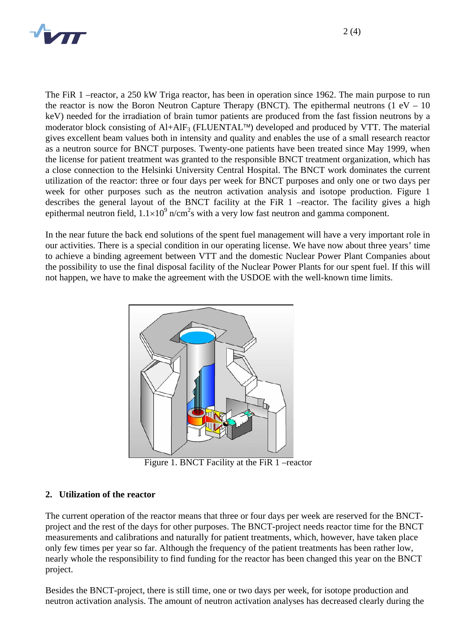

The FiR 1 –reactor, a 250 kW Triga reactor, has been in operation since 1962. The main purpose to run the reactor is now the Boron Neutron Capture Therapy (BNCT). The epithermal neutrons  $(1 \text{ eV} - 10)$ keV) needed for the irradiation of brain tumor patients are produced from the fast fission neutrons by a moderator block consisting of  $A1+AIF_3$  (FLUENTAL<sup>™</sup>) developed and produced by VTT. The material gives excellent beam values both in intensity and quality and enables the use of a small research reactor as a neutron source for BNCT purposes. Twenty-one patients have been treated since May 1999, when the license for patient treatment was granted to the responsible BNCT treatment organization, which has a close connection to the Helsinki University Central Hospital. The BNCT work dominates the current utilization of the reactor: three or four days per week for BNCT purposes and only one or two days per week for other purposes such as the neutron activation analysis and isotope production. Figure 1 describes the general layout of the BNCT facility at the FiR 1 –reactor. The facility gives a high epithermal neutron field,  $1.1 \times 10^{9}$  n/cm<sup>2</sup>s with a very low fast neutron and gamma component.

In the near future the back end solutions of the spent fuel management will have a very important role in our activities. There is a special condition in our operating license. We have now about three years' time to achieve a binding agreement between VTT and the domestic Nuclear Power Plant Companies about the possibility to use the final disposal facility of the Nuclear Power Plants for our spent fuel. If this will not happen, we have to make the agreement with the USDOE with the well-known time limits.



Figure 1. BNCT Facility at the FiR 1 –reactor

## **2. Utilization of the reactor**

The current operation of the reactor means that three or four days per week are reserved for the BNCTproject and the rest of the days for other purposes. The BNCT-project needs reactor time for the BNCT measurements and calibrations and naturally for patient treatments, which, however, have taken place only few times per year so far. Although the frequency of the patient treatments has been rather low, nearly whole the responsibility to find funding for the reactor has been changed this year on the BNCT project.

Besides the BNCT-project, there is still time, one or two days per week, for isotope production and neutron activation analysis. The amount of neutron activation analyses has decreased clearly during the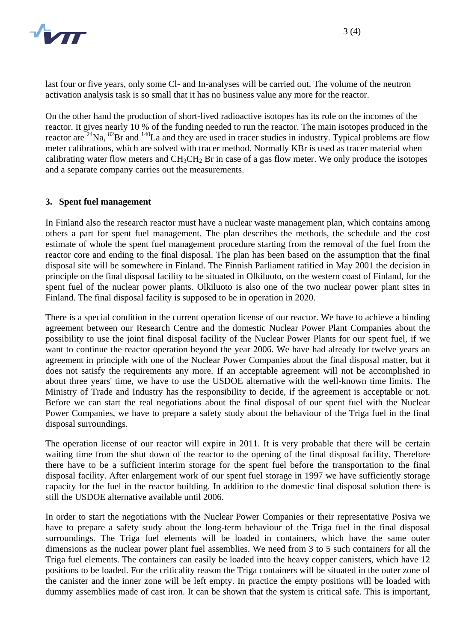

last four or five years, only some Cl- and In-analyses will be carried out. The volume of the neutron activation analysis task is so small that it has no business value any more for the reactor.

On the other hand the production of short-lived radioactive isotopes has its role on the incomes of the reactor. It gives nearly 10 % of the funding needed to run the reactor. The main isotopes produced in the reactor are <sup>24</sup>Na, <sup>82</sup>Br and <sup>140</sup>La and they are used in tracer studies in industry. Typical problems are flow meter calibrations, which are solved with tracer method. Normally KBr is used as tracer material when calibrating water flow meters and  $CH_3CH_2$  Br in case of a gas flow meter. We only produce the isotopes and a separate company carries out the measurements.

## **3. Spent fuel management**

In Finland also the research reactor must have a nuclear waste management plan, which contains among others a part for spent fuel management. The plan describes the methods, the schedule and the cost estimate of whole the spent fuel management procedure starting from the removal of the fuel from the reactor core and ending to the final disposal. The plan has been based on the assumption that the final disposal site will be somewhere in Finland. The Finnish Parliament ratified in May 2001 the decision in principle on the final disposal facility to be situated in Olkiluoto, on the western coast of Finland, for the spent fuel of the nuclear power plants. Olkiluoto is also one of the two nuclear power plant sites in Finland. The final disposal facility is supposed to be in operation in 2020.

There is a special condition in the current operation license of our reactor. We have to achieve a binding agreement between our Research Centre and the domestic Nuclear Power Plant Companies about the possibility to use the joint final disposal facility of the Nuclear Power Plants for our spent fuel, if we want to continue the reactor operation beyond the year 2006. We have had already for twelve years an agreement in principle with one of the Nuclear Power Companies about the final disposal matter, but it does not satisfy the requirements any more. If an acceptable agreement will not be accomplished in about three years' time, we have to use the USDOE alternative with the well-known time limits. The Ministry of Trade and Industry has the responsibility to decide, if the agreement is acceptable or not. Before we can start the real negotiations about the final disposal of our spent fuel with the Nuclear Power Companies, we have to prepare a safety study about the behaviour of the Triga fuel in the final disposal surroundings.

The operation license of our reactor will expire in 2011. It is very probable that there will be certain waiting time from the shut down of the reactor to the opening of the final disposal facility. Therefore there have to be a sufficient interim storage for the spent fuel before the transportation to the final disposal facility. After enlargement work of our spent fuel storage in 1997 we have sufficiently storage capacity for the fuel in the reactor building. In addition to the domestic final disposal solution there is still the USDOE alternative available until 2006.

In order to start the negotiations with the Nuclear Power Companies or their representative Posiva we have to prepare a safety study about the long-term behaviour of the Triga fuel in the final disposal surroundings. The Triga fuel elements will be loaded in containers, which have the same outer dimensions as the nuclear power plant fuel assemblies. We need from 3 to 5 such containers for all the Triga fuel elements. The containers can easily be loaded into the heavy copper canisters, which have 12 positions to be loaded. For the criticality reason the Triga containers will be situated in the outer zone of the canister and the inner zone will be left empty. In practice the empty positions will be loaded with dummy assemblies made of cast iron. It can be shown that the system is critical safe. This is important,